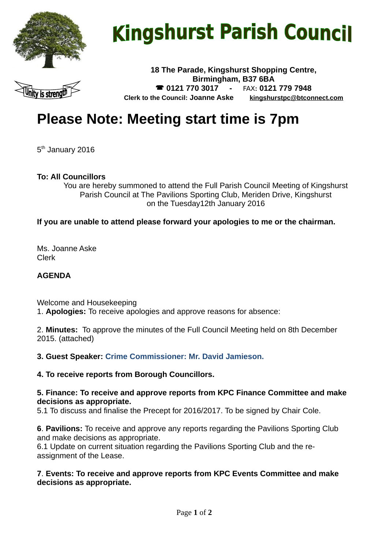

# **Kingshurst Parish Council**



**18 The Parade, Kingshurst Shopping Centre, Birmingham, B37 6BA 0121 770 3017 -** FAX**: 0121 779 7948 Clerk to the Council: Joanne Aske [kingshurstpc@btconnect.com](mailto:kingshurstpc@btconnect.com)**

# **Please Note: Meeting start time is 7pm**

5<sup>th</sup> January 2016

#### **To: All Councillors**

You are hereby summoned to attend the Full Parish Council Meeting of Kingshurst Parish Council at The Pavilions Sporting Club, Meriden Drive, Kingshurst on the Tuesday12th January 2016

#### **If you are unable to attend please forward your apologies to me or the chairman.**

Ms. Joanne Aske Clerk

#### **AGENDA**

Welcome and Housekeeping 1. **Apologies:** To receive apologies and approve reasons for absence:

2. **Minutes:** To approve the minutes of the Full Council Meeting held on 8th December 2015. (attached)

**3. Guest Speaker: Crime Commissioner: Mr. David Jamieson.**

#### **4. To receive reports from Borough Councillors.**

#### **5. Finance: To receive and approve reports from KPC Finance Committee and make decisions as appropriate.**

5.1 To discuss and finalise the Precept for 2016/2017. To be signed by Chair Cole.

**6**. **Pavilions:** To receive and approve any reports regarding the Pavilions Sporting Club and make decisions as appropriate.

6.1 Update on current situation regarding the Pavilions Sporting Club and the reassignment of the Lease.

#### **7**. **Events: To receive and approve reports from KPC Events Committee and make decisions as appropriate.**